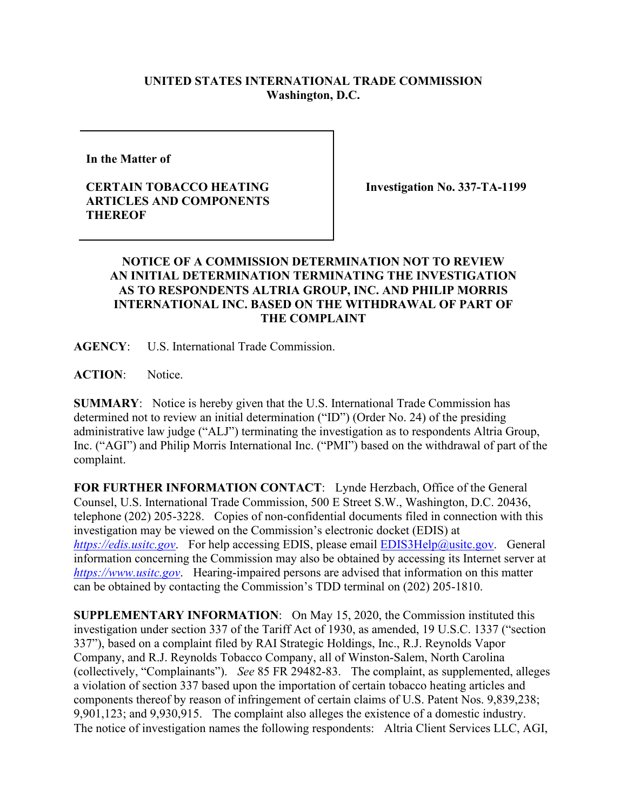## **UNITED STATES INTERNATIONAL TRADE COMMISSION Washington, D.C.**

**In the Matter of** 

## **CERTAIN TOBACCO HEATING ARTICLES AND COMPONENTS THEREOF**

**Investigation No. 337-TA-1199**

## **NOTICE OF A COMMISSION DETERMINATION NOT TO REVIEW AN INITIAL DETERMINATION TERMINATING THE INVESTIGATION AS TO RESPONDENTS ALTRIA GROUP, INC. AND PHILIP MORRIS INTERNATIONAL INC. BASED ON THE WITHDRAWAL OF PART OF THE COMPLAINT**

**AGENCY**: U.S. International Trade Commission.

**ACTION**: Notice.

**SUMMARY**: Notice is hereby given that the U.S. International Trade Commission has determined not to review an initial determination ("ID") (Order No. 24) of the presiding administrative law judge ("ALJ") terminating the investigation as to respondents Altria Group, Inc. ("AGI") and Philip Morris International Inc. ("PMI") based on the withdrawal of part of the complaint.

**FOR FURTHER INFORMATION CONTACT**: Lynde Herzbach, Office of the General Counsel, U.S. International Trade Commission, 500 E Street S.W., Washington, D.C. 20436, telephone (202) 205-3228. Copies of non-confidential documents filed in connection with this investigation may be viewed on the Commission's electronic docket (EDIS) at *[https://edis.usitc.gov](https://edis.usitc.gov/)*. For help accessing EDIS, please email [EDIS3Help@usitc.gov.](mailto:EDIS3Help@usitc.gov) General information concerning the Commission may also be obtained by accessing its Internet server at *[https://www.usitc.gov](https://www.usitc.gov/)*. Hearing-impaired persons are advised that information on this matter can be obtained by contacting the Commission's TDD terminal on (202) 205-1810.

**SUPPLEMENTARY INFORMATION**: On May 15, 2020, the Commission instituted this investigation under section 337 of the Tariff Act of 1930, as amended, 19 U.S.C. 1337 ("section 337"), based on a complaint filed by RAI Strategic Holdings, Inc., R.J. Reynolds Vapor Company, and R.J. Reynolds Tobacco Company, all of Winston-Salem, North Carolina (collectively, "Complainants"). *See* 85 FR 29482-83. The complaint, as supplemented, alleges a violation of section 337 based upon the importation of certain tobacco heating articles and components thereof by reason of infringement of certain claims of U.S. Patent Nos. 9,839,238; 9,901,123; and 9,930,915. The complaint also alleges the existence of a domestic industry. The notice of investigation names the following respondents: Altria Client Services LLC, AGI,